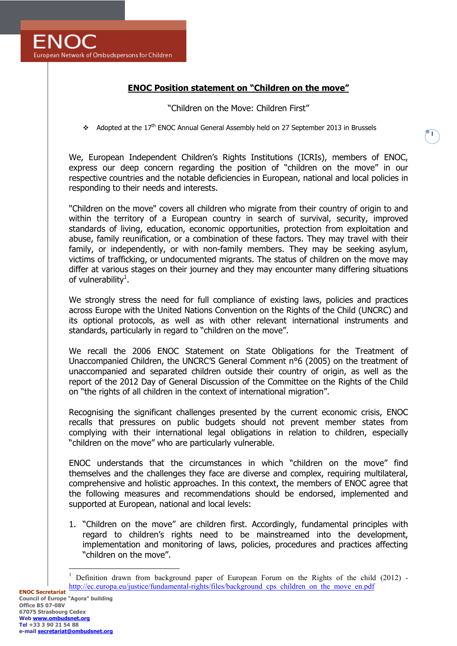## **ENOC Position statement on "Children on the move"**

## "Children on the Move: Children First"

**1**

 $\triangleleft$  Adopted at the 17<sup>th</sup> ENOC Annual General Assembly held on 27 September 2013 in Brussels

We, European Independent Children's Rights Institutions (ICRIs), members of ENOC, express our deep concern regarding the position of "children on the move" in our respective countries and the notable deficiencies in European, national and local policies in responding to their needs and interests.

"Children on the move" covers all children who migrate from their country of origin to and within the territory of a European country in search of survival, security, improved standards of living, education, economic opportunities, protection from exploitation and abuse, family reunification, or a combination of these factors. They may travel with their family, or independently, or with non-family members. They may be seeking asylum, victims of trafficking, or undocumented migrants. The status of children on the move may differ at various stages on their journey and they may encounter many differing situations of vulnerability<sup>1</sup>.

We strongly stress the need for full compliance of existing laws, policies and practices across Europe with the United Nations Convention on the Rights of the Child (UNCRC) and its optional protocols, as well as with other relevant international instruments and standards, particularly in regard to "children on the move".

We recall the 2006 ENOC Statement on State Obligations for the Treatment of Unaccompanied Children, the UNCRC'S General Comment n°6 (2005) on the treatment of unaccompanied and separated children outside their country of origin, as well as the report of the 2012 Day of General Discussion of the Committee on the Rights of the Child on "the rights of all children in the context of international migration".

Recognising the significant challenges presented by the current economic crisis, ENOC recalls that pressures on public budgets should not prevent member states from complying with their international legal obligations in relation to children, especially "children on the move" who are particularly vulnerable.

ENOC understands that the circumstances in which "children on the move" find themselves and the challenges they face are diverse and complex, requiring multilateral, comprehensive and holistic approaches. In this context, the members of ENOC agree that the following measures and recommendations should be endorsed, implemented and supported at European, national and local levels:

1. "Children on the move" are children first. Accordingly, fundamental principles with regard to children's rights need to be mainstreamed into the development, implementation and monitoring of laws, policies, procedures and practices affecting "children on the move".

 $\overline{a}$ 

<sup>1</sup> Definition drawn from background paper of European Forum on the Rights of the child (2012) http://ec.europa.eu/justice/fundamental-rights/files/background\_cps\_children\_on\_the\_move\_en.pdf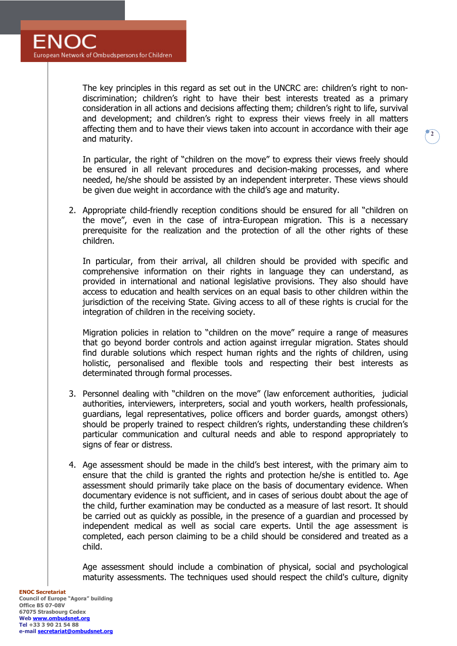The key principles in this regard as set out in the UNCRC are: children's right to nondiscrimination; children's right to have their best interests treated as a primary consideration in all actions and decisions affecting them; children's right to life, survival and development; and children's right to express their views freely in all matters affecting them and to have their views taken into account in accordance with their age and maturity.

**2**

In particular, the right of "children on the move" to express their views freely should be ensured in all relevant procedures and decision-making processes, and where needed, he/she should be assisted by an independent interpreter. These views should be given due weight in accordance with the child's age and maturity.

2. Appropriate child-friendly reception conditions should be ensured for all "children on the move", even in the case of intra-European migration. This is a necessary prerequisite for the realization and the protection of all the other rights of these children.

In particular, from their arrival, all children should be provided with specific and comprehensive information on their rights in language they can understand, as provided in international and national legislative provisions. They also should have access to education and health services on an equal basis to other children within the jurisdiction of the receiving State. Giving access to all of these rights is crucial for the integration of children in the receiving society.

Migration policies in relation to "children on the move" require a range of measures that go beyond border controls and action against irregular migration. States should find durable solutions which respect human rights and the rights of children, using holistic, personalised and flexible tools and respecting their best interests as determinated through formal processes.

- 3. Personnel dealing with "children on the move" (law enforcement authorities, judicial authorities, interviewers, interpreters, social and youth workers, health professionals, guardians, legal representatives, police officers and border guards, amongst others) should be properly trained to respect children's rights, understanding these children's particular communication and cultural needs and able to respond appropriately to signs of fear or distress.
- 4. Age assessment should be made in the child's best interest, with the primary aim to ensure that the child is granted the rights and protection he/she is entitled to. Age assessment should primarily take place on the basis of documentary evidence. When documentary evidence is not sufficient, and in cases of serious doubt about the age of the child, further examination may be conducted as a measure of last resort. It should be carried out as quickly as possible, in the presence of a guardian and processed by independent medical as well as social care experts. Until the age assessment is completed, each person claiming to be a child should be considered and treated as a child.

Age assessment should include a combination of physical, social and psychological maturity assessments. The techniques used should respect the child's culture, dignity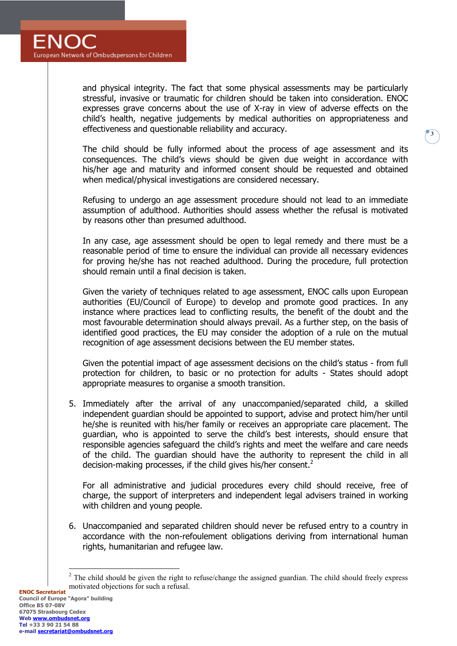

and physical integrity. The fact that some physical assessments may be particularly stressful, invasive or traumatic for children should be taken into consideration. ENOC expresses grave concerns about the use of X-ray in view of adverse effects on the child's health, negative judgements by medical authorities on appropriateness and effectiveness and questionable reliability and accuracy.

**3**

The child should be fully informed about the process of age assessment and its consequences. The child's views should be given due weight in accordance with his/her age and maturity and informed consent should be requested and obtained when medical/physical investigations are considered necessary.

Refusing to undergo an age assessment procedure should not lead to an immediate assumption of adulthood. Authorities should assess whether the refusal is motivated by reasons other than presumed adulthood.

In any case, age assessment should be open to legal remedy and there must be a reasonable period of time to ensure the individual can provide all necessary evidences for proving he/she has not reached adulthood. During the procedure, full protection should remain until a final decision is taken.

Given the variety of techniques related to age assessment, ENOC calls upon European authorities (EU/Council of Europe) to develop and promote good practices. In any instance where practices lead to conflicting results, the benefit of the doubt and the most favourable determination should always prevail. As a further step, on the basis of identified good practices, the EU may consider the adoption of a rule on the mutual recognition of age assessment decisions between the EU member states.

Given the potential impact of age assessment decisions on the child's status - from full protection for children, to basic or no protection for adults - States should adopt appropriate measures to organise a smooth transition.

5. Immediately after the arrival of any unaccompanied/separated child, a skilled independent guardian should be appointed to support, advise and protect him/her until he/she is reunited with his/her family or receives an appropriate care placement. The guardian, who is appointed to serve the child's best interests, should ensure that responsible agencies safeguard the child's rights and meet the welfare and care needs of the child. The guardian should have the authority to represent the child in all decision-making processes, if the child gives his/her consent.<sup>2</sup>

For all administrative and judicial procedures every child should receive, free of charge, the support of interpreters and independent legal advisers trained in working with children and young people.

6. Unaccompanied and separated children should never be refused entry to a country in accordance with the non-refoulement obligations deriving from international human rights, humanitarian and refugee law.

 $\overline{a}$  $2$  The child should be given the right to refuse/change the assigned guardian. The child should freely express motivated objections for such a refusal.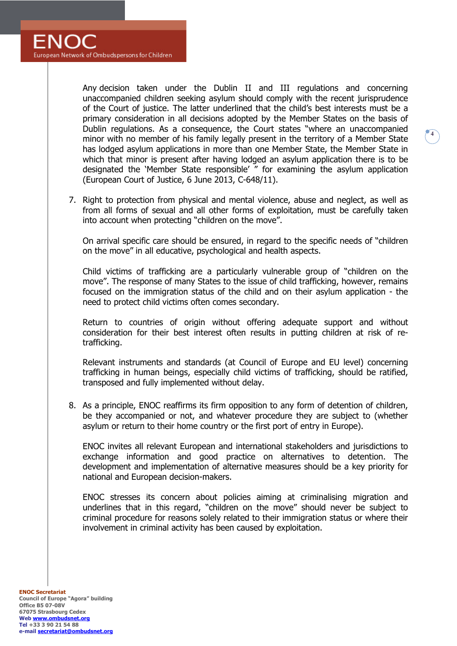Any decision taken under the Dublin II and III regulations and concerning unaccompanied children seeking asylum should comply with the recent jurisprudence of the Court of justice. The latter underlined that the child's best interests must be a primary consideration in all decisions adopted by the Member States on the basis of Dublin regulations. As a consequence, the Court states "where an unaccompanied minor with no member of his family legally present in the territory of a Member State has lodged asylum applications in more than one Member State, the Member State in which that minor is present after having lodged an asylum application there is to be designated the 'Member State responsible' " for examining the asylum application (European Court of Justice, 6 June 2013, C-648/11).

**4**

7. Right to protection from physical and mental violence, abuse and neglect, as well as from all forms of sexual and all other forms of exploitation, must be carefully taken into account when protecting "children on the move".

On arrival specific care should be ensured, in regard to the specific needs of "children on the move" in all educative, psychological and health aspects.

Child victims of trafficking are a particularly vulnerable group of "children on the move". The response of many States to the issue of child trafficking, however, remains focused on the immigration status of the child and on their asylum application - the need to protect child victims often comes secondary.

Return to countries of origin without offering adequate support and without consideration for their best interest often results in putting children at risk of retrafficking.

Relevant instruments and standards (at Council of Europe and EU level) concerning trafficking in human beings, especially child victims of trafficking, should be ratified, transposed and fully implemented without delay.

8. As a principle, ENOC reaffirms its firm opposition to any form of detention of children, be they accompanied or not, and whatever procedure they are subject to (whether asylum or return to their home country or the first port of entry in Europe).

ENOC invites all relevant European and international stakeholders and jurisdictions to exchange information and good practice on alternatives to detention. The development and implementation of alternative measures should be a key priority for national and European decision-makers.

ENOC stresses its concern about policies aiming at criminalising migration and underlines that in this regard, "children on the move" should never be subject to criminal procedure for reasons solely related to their immigration status or where their involvement in criminal activity has been caused by exploitation.